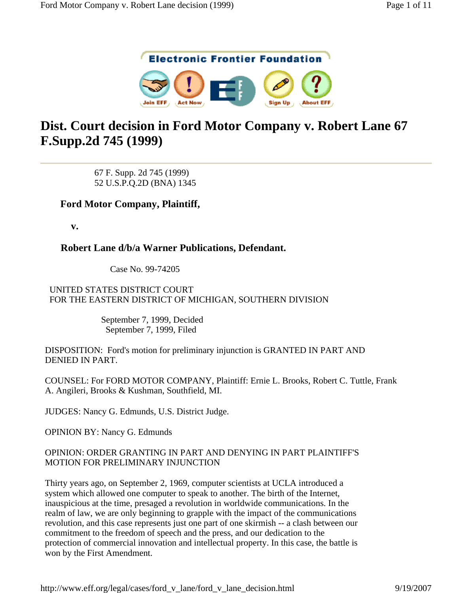

# **Dist. Court decision in Ford Motor Company v. Robert Lane 67 F.Supp.2d 745 (1999)**

67 F. Supp. 2d 745 (1999) 52 U.S.P.Q.2D (BNA) 1345

# **Ford Motor Company, Plaintiff,**

**v.**

# **Robert Lane d/b/a Warner Publications, Defendant.**

Case No. 99-74205

UNITED STATES DISTRICT COURT FOR THE EASTERN DISTRICT OF MICHIGAN, SOUTHERN DIVISION

> September 7, 1999, Decided September 7, 1999, Filed

DISPOSITION: Ford's motion for preliminary injunction is GRANTED IN PART AND DENIED IN PART.

COUNSEL: For FORD MOTOR COMPANY, Plaintiff: Ernie L. Brooks, Robert C. Tuttle, Frank A. Angileri, Brooks & Kushman, Southfield, MI.

JUDGES: Nancy G. Edmunds, U.S. District Judge.

OPINION BY: Nancy G. Edmunds

#### OPINION: ORDER GRANTING IN PART AND DENYING IN PART PLAINTIFF'S MOTION FOR PRELIMINARY INJUNCTION

Thirty years ago, on September 2, 1969, computer scientists at UCLA introduced a system which allowed one computer to speak to another. The birth of the Internet, inauspicious at the time, presaged a revolution in worldwide communications. In the realm of law, we are only beginning to grapple with the impact of the communications revolution, and this case represents just one part of one skirmish -- a clash between our commitment to the freedom of speech and the press, and our dedication to the protection of commercial innovation and intellectual property. In this case, the battle is won by the First Amendment.

http://www.eff.org/legal/cases/ford\_v\_lane/ford\_v\_lane\_decision.html 9/19/2007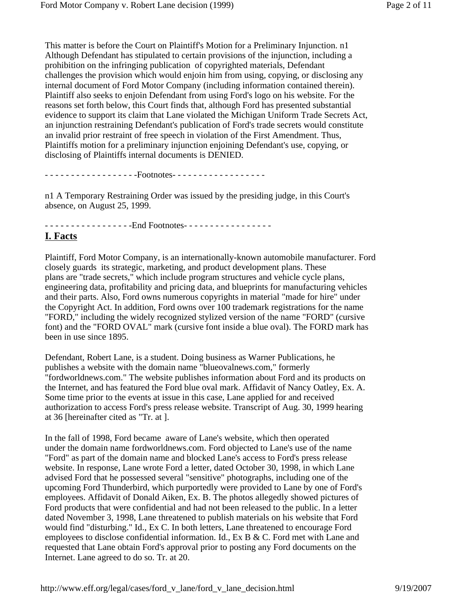This matter is before the Court on Plaintiff's Motion for a Preliminary Injunction. n1 Although Defendant has stipulated to certain provisions of the injunction, including a prohibition on the infringing publication of copyrighted materials, Defendant challenges the provision which would enjoin him from using, copying, or disclosing any internal document of Ford Motor Company (including information contained therein). Plaintiff also seeks to enjoin Defendant from using Ford's logo on his website. For the reasons set forth below, this Court finds that, although Ford has presented substantial evidence to support its claim that Lane violated the Michigan Uniform Trade Secrets Act, an injunction restraining Defendant's publication of Ford's trade secrets would constitute an invalid prior restraint of free speech in violation of the First Amendment. Thus, Plaintiffs motion for a preliminary injunction enjoining Defendant's use, copying, or disclosing of Plaintiffs internal documents is DENIED.

- - - - - - - - - - - - - - - - - -Footnotes- - - - - - - - - - - - - - - - - -

n1 A Temporary Restraining Order was issued by the presiding judge, in this Court's absence, on August 25, 1999.

- - - - - - - - - - - - - - - - - - End Footnotes - - - - - - - - - - - - - - - - -

## **I. Facts**

Plaintiff, Ford Motor Company, is an internationally-known automobile manufacturer. Ford closely guards its strategic, marketing, and product development plans. These plans are "trade secrets," which include program structures and vehicle cycle plans, engineering data, profitability and pricing data, and blueprints for manufacturing vehicles and their parts. Also, Ford owns numerous copyrights in material "made for hire" under the Copyright Act. In addition, Ford owns over 100 trademark registrations for the name "FORD," including the widely recognized stylized version of the name "FORD" (cursive font) and the "FORD OVAL" mark (cursive font inside a blue oval). The FORD mark has been in use since 1895.

Defendant, Robert Lane, is a student. Doing business as Warner Publications, he publishes a website with the domain name "blueovalnews.com," formerly "fordworldnews.com." The website publishes information about Ford and its products on the Internet, and has featured the Ford blue oval mark. Affidavit of Nancy Oatley, Ex. A. Some time prior to the events at issue in this case, Lane applied for and received authorization to access Ford's press release website. Transcript of Aug. 30, 1999 hearing at 36 [hereinafter cited as "Tr. at ].

In the fall of 1998, Ford became aware of Lane's website, which then operated under the domain name fordworldnews.com. Ford objected to Lane's use of the name "Ford" as part of the domain name and blocked Lane's access to Ford's press release website. In response, Lane wrote Ford a letter, dated October 30, 1998, in which Lane advised Ford that he possessed several "sensitive" photographs, including one of the upcoming Ford Thunderbird, which purportedly were provided to Lane by one of Ford's employees. Affidavit of Donald Aiken, Ex. B. The photos allegedly showed pictures of Ford products that were confidential and had not been released to the public. In a letter dated November 3, 1998, Lane threatened to publish materials on his website that Ford would find "disturbing." Id., Ex C. In both letters, Lane threatened to encourage Ford employees to disclose confidential information. Id., Ex B & C. Ford met with Lane and requested that Lane obtain Ford's approval prior to posting any Ford documents on the Internet. Lane agreed to do so. Tr. at 20.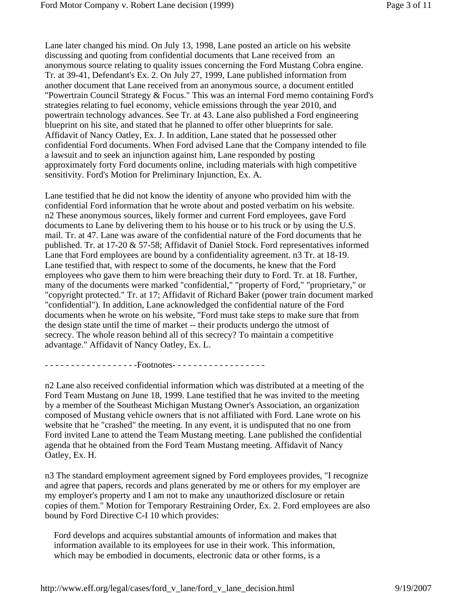Lane later changed his mind. On July 13, 1998, Lane posted an article on his website discussing and quoting from confidential documents that Lane received from an anonymous source relating to quality issues concerning the Ford Mustang Cobra engine. Tr. at 39-41, Defendant's Ex. 2. On July 27, 1999, Lane published information from another document that Lane received from an anonymous source, a document entitled "Powertrain Council Strategy & Focus." This was an internal Ford memo containing Ford's strategies relating to fuel economy, vehicle emissions through the year 2010, and powertrain technology advances. See Tr. at 43. Lane also published a Ford engineering blueprint on his site, and stated that he planned to offer other blueprints for sale. Affidavit of Nancy Oatley, Ex. J. In addition, Lane stated that he possessed other confidential Ford documents. When Ford advised Lane that the Company intended to file a lawsuit and to seek an injunction against him, Lane responded by posting approximately forty Ford documents online, including materials with high competitive sensitivity. Ford's Motion for Preliminary Injunction, Ex. A.

Lane testified that he did not know the identity of anyone who provided him with the confidential Ford information that he wrote about and posted verbatim on his website. n2 These anonymous sources, likely former and current Ford employees, gave Ford documents to Lane by delivering them to his house or to his truck or by using the U.S. mail. Tr. at 47. Lane was aware of the confidential nature of the Ford documents that he published. Tr. at 17-20 & 57-58; Affidavit of Daniel Stock. Ford representatives informed Lane that Ford employees are bound by a confidentiality agreement. n3 Tr. at 18-19. Lane testified that, with respect to some of the documents, he knew that the Ford employees who gave them to him were breaching their duty to Ford. Tr. at 18. Further, many of the documents were marked "confidential," "property of Ford," "proprietary," or "copyright protected." Tr. at 17; Affidavit of Richard Baker (power train document marked "confidential"). In addition, Lane acknowledged the confidential nature of the Ford documents when he wrote on his website, "Ford must take steps to make sure that from the design state until the time of market -- their products undergo the utmost of secrecy. The whole reason behind all of this secrecy? To maintain a competitive advantage." Affidavit of Nancy Oatley, Ex. L.

- - - - - - - - - - - - - - - - - -Footnotes- - - - - - - - - - - - - - - - - -

n2 Lane also received confidential information which was distributed at a meeting of the Ford Team Mustang on June 18, 1999. Lane testified that he was invited to the meeting by a member of the Southeast Michigan Mustang Owner's Association, an organization composed of Mustang vehicle owners that is not affiliated with Ford. Lane wrote on his website that he "crashed" the meeting. In any event, it is undisputed that no one from Ford invited Lane to attend the Team Mustang meeting. Lane published the confidential agenda that he obtained from the Ford Team Mustang meeting. Affidavit of Nancy Oatley, Ex. H.

n3 The standard employment agreement signed by Ford employees provides, "I recognize and agree that papers, records and plans generated by me or others for my employer are my employer's property and I am not to make any unauthorized disclosure or retain copies of them." Motion for Temporary Restraining Order, Ex. 2. Ford employees are also bound by Ford Directive C-I 10 which provides:

Ford develops and acquires substantial amounts of information and makes that information available to its employees for use in their work. This information, which may be embodied in documents, electronic data or other forms, is a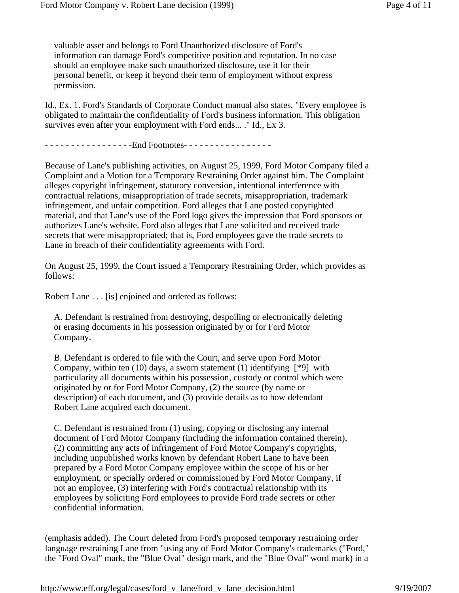valuable asset and belongs to Ford Unauthorized disclosure of Ford's information can damage Ford's competitive position and reputation. In no case should an employee make such unauthorized disclosure, use it for their personal benefit, or keep it beyond their term of employment without express permission.

Id., Ex. 1. Ford's Standards of Corporate Conduct manual also states, "Every employee is obligated to maintain the confidentiality of Ford's business information. This obligation survives even after your employment with Ford ends... ." Id., Ex 3.

- - - - - - - - - - - - - - - - - - End Footnotes - - - - - - - - - - - - - - - - -

Because of Lane's publishing activities, on August 25, 1999, Ford Motor Company filed a Complaint and a Motion for a Temporary Restraining Order against him. The Complaint alleges copyright infringement, statutory conversion, intentional interference with contractual relations, misappropriation of trade secrets, misappropriation, trademark infringement, and unfair competition. Ford alleges that Lane posted copyrighted material, and that Lane's use of the Ford logo gives the impression that Ford sponsors or authorizes Lane's website. Ford also alleges that Lane solicited and received trade secrets that were misappropriated; that is, Ford employees gave the trade secrets to Lane in breach of their confidentiality agreements with Ford.

On August 25, 1999, the Court issued a Temporary Restraining Order, which provides as follows:

Robert Lane . . . [is] enjoined and ordered as follows:

A. Defendant is restrained from destroying, despoiling or electronically deleting or erasing documents in his possession originated by or for Ford Motor Company.

B. Defendant is ordered to file with the Court, and serve upon Ford Motor Company, within ten  $(10)$  days, a sworn statement  $(1)$  identifying  $[*9]$  with particularity all documents within his possession, custody or control which were originated by or for Ford Motor Company, (2) the source (by name or description) of each document, and (3) provide details as to how defendant Robert Lane acquired each document.

C. Defendant is restrained from (1) using, copying or disclosing any internal document of Ford Motor Company (including the information contained therein), (2) committing any acts of infringement of Ford Motor Company's copyrights, including unpublished works known by defendant Robert Lane to have been prepared by a Ford Motor Company employee within the scope of his or her employment, or specially ordered or commissioned by Ford Motor Company, if not an employee, (3) interfering with Ford's contractual relationship with its employees by soliciting Ford employees to provide Ford trade secrets or other confidential information.

(emphasis added). The Court deleted from Ford's proposed temporary restraining order language restraining Lane from "using any of Ford Motor Company's trademarks ("Ford," the "Ford Oval" mark, the "Blue Oval" design mark, and the "Blue Oval" word mark) in a

http://www.eff.org/legal/cases/ford\_v\_lane/ford\_v\_lane\_decision.html 9/19/2007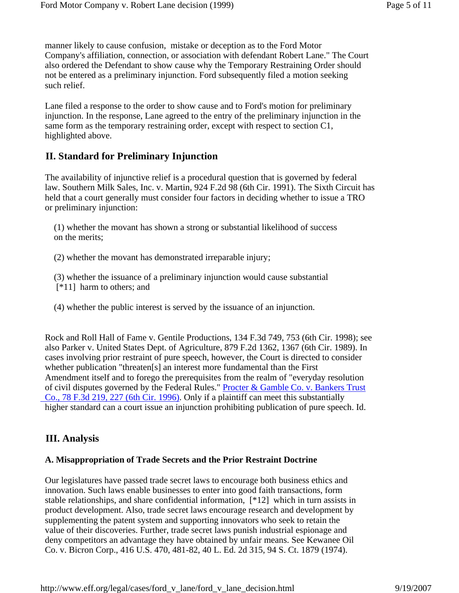manner likely to cause confusion, mistake or deception as to the Ford Motor Company's affiliation, connection, or association with defendant Robert Lane." The Court also ordered the Defendant to show cause why the Temporary Restraining Order should not be entered as a preliminary injunction. Ford subsequently filed a motion seeking such relief.

Lane filed a response to the order to show cause and to Ford's motion for preliminary injunction. In the response, Lane agreed to the entry of the preliminary injunction in the same form as the temporary restraining order, except with respect to section C1, highlighted above.

# **II. Standard for Preliminary Injunction**

The availability of injunctive relief is a procedural question that is governed by federal law. Southern Milk Sales, Inc. v. Martin, 924 F.2d 98 (6th Cir. 1991). The Sixth Circuit has held that a court generally must consider four factors in deciding whether to issue a TRO or preliminary injunction:

(1) whether the movant has shown a strong or substantial likelihood of success on the merits;

(2) whether the movant has demonstrated irreparable injury;

(3) whether the issuance of a preliminary injunction would cause substantial [\*11] harm to others; and

(4) whether the public interest is served by the issuance of an injunction.

Rock and Roll Hall of Fame v. Gentile Productions, 134 F.3d 749, 753 (6th Cir. 1998); see also Parker v. United States Dept. of Agriculture, 879 F.2d 1362, 1367 (6th Cir. 1989). In cases involving prior restraint of pure speech, however, the Court is directed to consider whether publication "threaten[s] an interest more fundamental than the First Amendment itself and to forego the prerequisites from the realm of "everyday resolution of civil disputes governed by the Federal Rules." Procter & Gamble Co. v. Bankers Trust Co., 78 F.3d 219, 227 (6th Cir. 1996). Only if a plaintiff can meet this substantially higher standard can a court issue an injunction prohibiting publication of pure speech. Id.

## **III. Analysis**

#### **A. Misappropriation of Trade Secrets and the Prior Restraint Doctrine**

Our legislatures have passed trade secret laws to encourage both business ethics and innovation. Such laws enable businesses to enter into good faith transactions, form stable relationships, and share confidential information, [\*12] which in turn assists in product development. Also, trade secret laws encourage research and development by supplementing the patent system and supporting innovators who seek to retain the value of their discoveries. Further, trade secret laws punish industrial espionage and deny competitors an advantage they have obtained by unfair means. See Kewanee Oil Co. v. Bicron Corp., 416 U.S. 470, 481-82, 40 L. Ed. 2d 315, 94 S. Ct. 1879 (1974).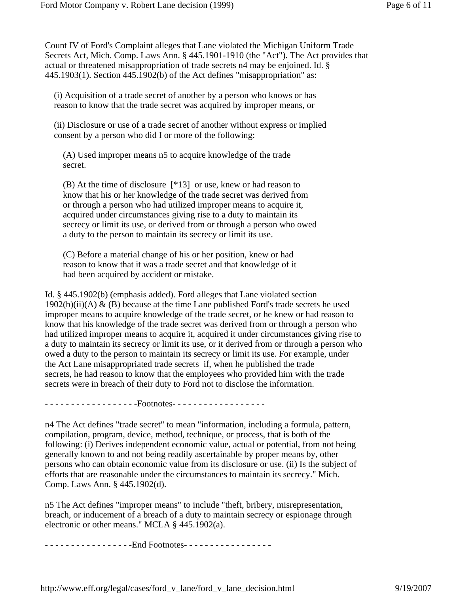Count IV of Ford's Complaint alleges that Lane violated the Michigan Uniform Trade Secrets Act, Mich. Comp. Laws Ann. § 445.1901-1910 (the "Act"). The Act provides that actual or threatened misappropriation of trade secrets n4 may be enjoined. Id. § 445.1903(1). Section 445.1902(b) of the Act defines "misappropriation" as:

(i) Acquisition of a trade secret of another by a person who knows or has reason to know that the trade secret was acquired by improper means, or

(ii) Disclosure or use of a trade secret of another without express or implied consent by a person who did I or more of the following:

(A) Used improper means n5 to acquire knowledge of the trade secret.

(B) At the time of disclosure [\*13] or use, knew or had reason to know that his or her knowledge of the trade secret was derived from or through a person who had utilized improper means to acquire it, acquired under circumstances giving rise to a duty to maintain its secrecy or limit its use, or derived from or through a person who owed a duty to the person to maintain its secrecy or limit its use.

(C) Before a material change of his or her position, knew or had reason to know that it was a trade secret and that knowledge of it had been acquired by accident or mistake.

Id. § 445.1902(b) (emphasis added). Ford alleges that Lane violated section  $1902(b)(ii)(A)$  & (B) because at the time Lane published Ford's trade secrets he used improper means to acquire knowledge of the trade secret, or he knew or had reason to know that his knowledge of the trade secret was derived from or through a person who had utilized improper means to acquire it, acquired it under circumstances giving rise to a duty to maintain its secrecy or limit its use, or it derived from or through a person who owed a duty to the person to maintain its secrecy or limit its use. For example, under the Act Lane misappropriated trade secrets if, when he published the trade secrets, he had reason to know that the employees who provided him with the trade secrets were in breach of their duty to Ford not to disclose the information.

- - - - - - - - - - - - - - - - - -Footnotes- - - - - - - - - - - - - - - - - -

n4 The Act defines "trade secret" to mean "information, including a formula, pattern, compilation, program, device, method, technique, or process, that is both of the following: (i) Derives independent economic value, actual or potential, from not being generally known to and not being readily ascertainable by proper means by, other persons who can obtain economic value from its disclosure or use. (ii) Is the subject of efforts that are reasonable under the circumstances to maintain its secrecy." Mich. Comp. Laws Ann. § 445.1902(d).

n5 The Act defines "improper means" to include "theft, bribery, misrepresentation, breach, or inducement of a breach of a duty to maintain secrecy or espionage through electronic or other means." MCLA § 445.1902(a).

- - - - - - - - - - - - - - - - - - End Footnotes - - - - - - - - - - - - - - - -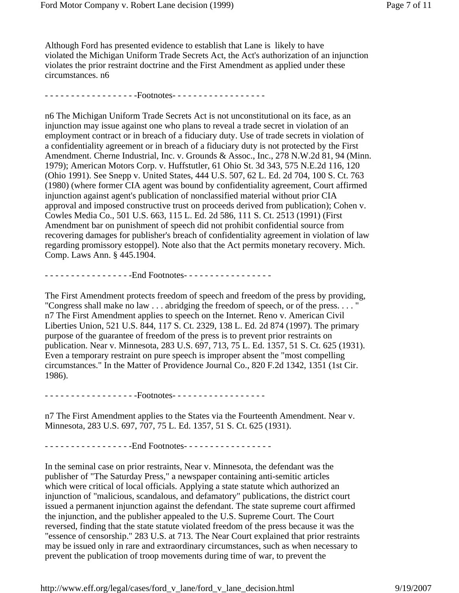Although Ford has presented evidence to establish that Lane is likely to have violated the Michigan Uniform Trade Secrets Act, the Act's authorization of an injunction violates the prior restraint doctrine and the First Amendment as applied under these circumstances. n6

- - - - - - - - - - - - - - - - - -Footnotes- - - - - - - - - - - - - - - - - -

n6 The Michigan Uniform Trade Secrets Act is not unconstitutional on its face, as an injunction may issue against one who plans to reveal a trade secret in violation of an employment contract or in breach of a fiduciary duty. Use of trade secrets in violation of a confidentiality agreement or in breach of a fiduciary duty is not protected by the First Amendment. Cherne Industrial, Inc. v. Grounds & Assoc., Inc., 278 N.W.2d 81, 94 (Minn. 1979); American Motors Corp. v. Huffstutler, 61 Ohio St. 3d 343, 575 N.E.2d 116, 120 (Ohio 1991). See Snepp v. United States, 444 U.S. 507, 62 L. Ed. 2d 704, 100 S. Ct. 763 (1980) (where former CIA agent was bound by confidentiality agreement, Court affirmed injunction against agent's publication of nonclassified material without prior CIA approval and imposed constructive trust on proceeds derived from publication); Cohen v. Cowles Media Co., 501 U.S. 663, 115 L. Ed. 2d 586, 111 S. Ct. 2513 (1991) (First Amendment bar on punishment of speech did not prohibit confidential source from recovering damages for publisher's breach of confidentiality agreement in violation of law regarding promissory estoppel). Note also that the Act permits monetary recovery. Mich. Comp. Laws Ann. § 445.1904.

- - - - - - - - - - - - - - - - - End Footnotes - - - - - - - - - - - - - - - - -

The First Amendment protects freedom of speech and freedom of the press by providing, "Congress shall make no law . . . abridging the freedom of speech, or of the press. . . . " n7 The First Amendment applies to speech on the Internet. Reno v. American Civil Liberties Union, 521 U.S. 844, 117 S. Ct. 2329, 138 L. Ed. 2d 874 (1997). The primary purpose of the guarantee of freedom of the press is to prevent prior restraints on publication. Near v. Minnesota, 283 U.S. 697, 713, 75 L. Ed. 1357, 51 S. Ct. 625 (1931). Even a temporary restraint on pure speech is improper absent the "most compelling circumstances." In the Matter of Providence Journal Co., 820 F.2d 1342, 1351 (1st Cir. 1986).

- - - - - - - - - - - - - - - - - - Footnotes - - - - - - - - - - - - - - - - - -

n7 The First Amendment applies to the States via the Fourteenth Amendment. Near v. Minnesota, 283 U.S. 697, 707, 75 L. Ed. 1357, 51 S. Ct. 625 (1931).

- - - - - - - - - - - - - - - - - - End Footnotes - - - - - - - - - - - - - - - - -

In the seminal case on prior restraints, Near v. Minnesota, the defendant was the publisher of "The Saturday Press," a newspaper containing anti-semitic articles which were critical of local officials. Applying a state statute which authorized an injunction of "malicious, scandalous, and defamatory" publications, the district court issued a permanent injunction against the defendant. The state supreme court affirmed the injunction, and the publisher appealed to the U.S. Supreme Court. The Court reversed, finding that the state statute violated freedom of the press because it was the "essence of censorship." 283 U.S. at 713. The Near Court explained that prior restraints may be issued only in rare and extraordinary circumstances, such as when necessary to prevent the publication of troop movements during time of war, to prevent the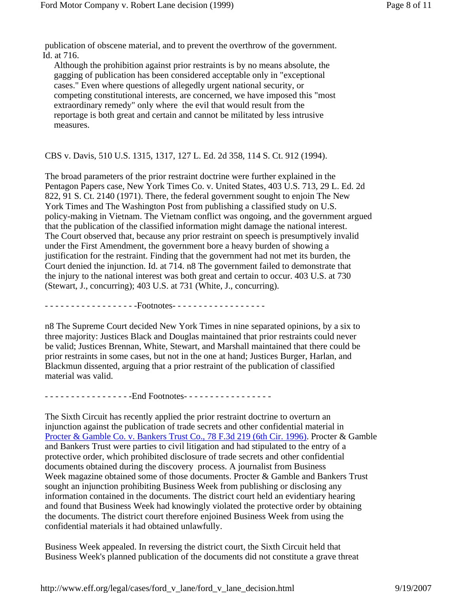publication of obscene material, and to prevent the overthrow of the government. Id. at 716.

Although the prohibition against prior restraints is by no means absolute, the gagging of publication has been considered acceptable only in "exceptional cases." Even where questions of allegedly urgent national security, or competing constitutional interests, are concerned, we have imposed this "most extraordinary remedy" only where the evil that would result from the reportage is both great and certain and cannot be militated by less intrusive measures.

#### CBS v. Davis, 510 U.S. 1315, 1317, 127 L. Ed. 2d 358, 114 S. Ct. 912 (1994).

The broad parameters of the prior restraint doctrine were further explained in the Pentagon Papers case, New York Times Co. v. United States, 403 U.S. 713, 29 L. Ed. 2d 822, 91 S. Ct. 2140 (1971). There, the federal government sought to enjoin The New York Times and The Washington Post from publishing a classified study on U.S. policy-making in Vietnam. The Vietnam conflict was ongoing, and the government argued that the publication of the classified information might damage the national interest. The Court observed that, because any prior restraint on speech is presumptively invalid under the First Amendment, the government bore a heavy burden of showing a justification for the restraint. Finding that the government had not met its burden, the Court denied the injunction. Id. at 714. n8 The government failed to demonstrate that the injury to the national interest was both great and certain to occur. 403 U.S. at 730 (Stewart, J., concurring); 403 U.S. at 731 (White, J., concurring).

- - - - - - - - - - - - - - - - - -Footnotes- - - - - - - - - - - - - - - - - -

n8 The Supreme Court decided New York Times in nine separated opinions, by a six to three majority: Justices Black and Douglas maintained that prior restraints could never be valid; Justices Brennan, White, Stewart, and Marshall maintained that there could be prior restraints in some cases, but not in the one at hand; Justices Burger, Harlan, and Blackmun dissented, arguing that a prior restraint of the publication of classified material was valid.

- - - - - - - - - - - - - - - - - - End Footnotes - - - - - - - - - - - - - - - - -

The Sixth Circuit has recently applied the prior restraint doctrine to overturn an injunction against the publication of trade secrets and other confidential material in Procter & Gamble Co. v. Bankers Trust Co., 78 F.3d 219 (6th Cir. 1996). Procter & Gamble and Bankers Trust were parties to civil litigation and had stipulated to the entry of a protective order, which prohibited disclosure of trade secrets and other confidential documents obtained during the discovery process. A journalist from Business Week magazine obtained some of those documents. Procter & Gamble and Bankers Trust sought an injunction prohibiting Business Week from publishing or disclosing any information contained in the documents. The district court held an evidentiary hearing and found that Business Week had knowingly violated the protective order by obtaining the documents. The district court therefore enjoined Business Week from using the confidential materials it had obtained unlawfully.

Business Week appealed. In reversing the district court, the Sixth Circuit held that Business Week's planned publication of the documents did not constitute a grave threat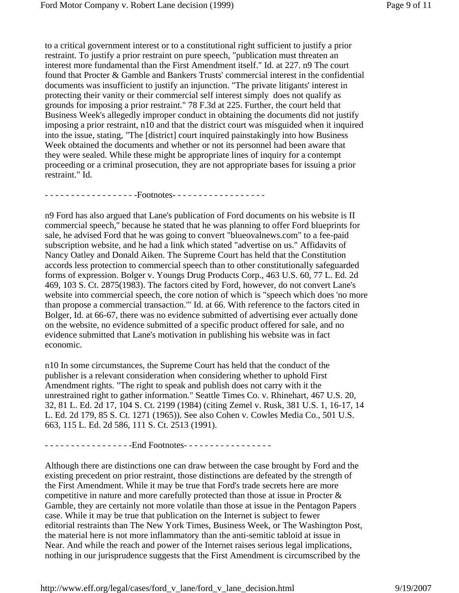to a critical government interest or to a constitutional right sufficient to justify a prior restraint. To justify a prior restraint on pure speech, "publication must threaten an interest more fundamental than the First Amendment itself." Id. at 227. n9 The court found that Procter & Gamble and Bankers Trusts' commercial interest in the confidential documents was insufficient to justify an injunction. "The private litigants' interest in protecting their vanity or their commercial self interest simply does not qualify as grounds for imposing a prior restraint." 78 F.3d at 225. Further, the court held that Business Week's allegedly improper conduct in obtaining the documents did not justify imposing a prior restraint, n10 and that the district court was misguided when it inquired into the issue, stating, "The [district] court inquired painstakingly into how Business Week obtained the documents and whether or not its personnel had been aware that they were sealed. While these might be appropriate lines of inquiry for a contempt proceeding or a criminal prosecution, they are not appropriate bases for issuing a prior restraint." Id.

- - - - - - - - - - - - - - - - - -Footnotes- - - - - - - - - - - - - - - - - -

n9 Ford has also argued that Lane's publication of Ford documents on his website is II commercial speech,'' because he stated that he was planning to offer Ford blueprints for sale, he advised Ford that he was going to convert "blueovalnews.com" to a fee-paid subscription website, and he had a link which stated "advertise on us." Affidavits of Nancy Oatley and Donald Aiken. The Supreme Court has held that the Constitution accords less protection to commercial speech than to other constitutionally safeguarded forms of expression. Bolger v. Youngs Drug Products Corp., 463 U.S. 60, 77 L. Ed. 2d 469, 103 S. Ct. 2875(1983). The factors cited by Ford, however, do not convert Lane's website into commercial speech, the core notion of which is "speech which does 'no more than propose a commercial transaction."' Id. at 66. With reference to the factors cited in Bolger, Id. at 66-67, there was no evidence submitted of advertising ever actually done on the website, no evidence submitted of a specific product offered for sale, and no evidence submitted that Lane's motivation in publishing his website was in fact economic.

n10 In some circumstances, the Supreme Court has held that the conduct of the publisher is a relevant consideration when considering whether to uphold First Amendment rights. "The right to speak and publish does not carry with it the unrestrained right to gather information." Seattle Times Co. v. Rhinehart, 467 U.S. 20, 32, 81 L. Ed. 2d 17, 104 S. Ct. 2199 (1984) (citing Zemel v. Rusk, 381 U.S. 1, 16-17, 14 L. Ed. 2d 179, 85 S. Ct. 1271 (1965)). See also Cohen v. Cowles Media Co., 501 U.S. 663, 115 L. Ed. 2d 586, 111 S. Ct. 2513 (1991).

- - - - - - - - - - - - - - - - - - End Footnotes - - - - - - - - - - - - - - - - -

Although there are distinctions one can draw between the case brought by Ford and the existing precedent on prior restraint, those distinctions are defeated by the strength of the First Amendment. While it may be true that Ford's trade secrets here are more competitive in nature and more carefully protected than those at issue in Procter & Gamble, they are certainly not more volatile than those at issue in the Pentagon Papers case. While it may be true that publication on the Internet is subject to fewer editorial restraints than The New York Times, Business Week, or The Washington Post, the material here is not more inflammatory than the anti-semitic tabloid at issue in Near. And while the reach and power of the Internet raises serious legal implications, nothing in our jurisprudence suggests that the First Amendment is circumscribed by the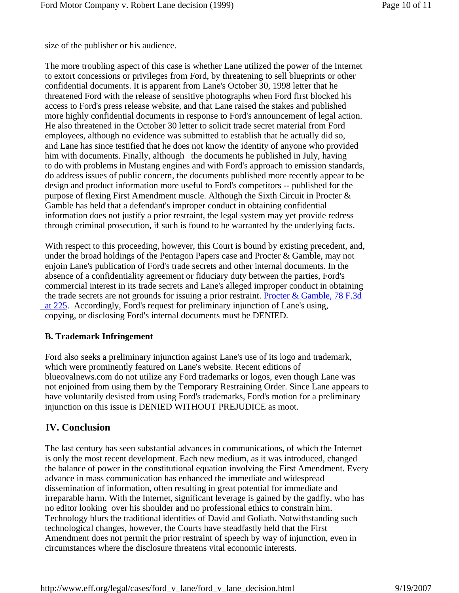size of the publisher or his audience.

The more troubling aspect of this case is whether Lane utilized the power of the Internet to extort concessions or privileges from Ford, by threatening to sell blueprints or other confidential documents. It is apparent from Lane's October 30, 1998 letter that he threatened Ford with the release of sensitive photographs when Ford first blocked his access to Ford's press release website, and that Lane raised the stakes and published more highly confidential documents in response to Ford's announcement of legal action. He also threatened in the October 30 letter to solicit trade secret material from Ford employees, although no evidence was submitted to establish that he actually did so, and Lane has since testified that he does not know the identity of anyone who provided him with documents. Finally, although the documents he published in July, having to do with problems in Mustang engines and with Ford's approach to emission standards, do address issues of public concern, the documents published more recently appear to be design and product information more useful to Ford's competitors -- published for the purpose of flexing First Amendment muscle. Although the Sixth Circuit in Procter & Gamble has held that a defendant's improper conduct in obtaining confidential information does not justify a prior restraint, the legal system may yet provide redress through criminal prosecution, if such is found to be warranted by the underlying facts.

With respect to this proceeding, however, this Court is bound by existing precedent, and, under the broad holdings of the Pentagon Papers case and Procter & Gamble, may not enjoin Lane's publication of Ford's trade secrets and other internal documents. In the absence of a confidentiality agreement or fiduciary duty between the parties, Ford's commercial interest in its trade secrets and Lane's alleged improper conduct in obtaining the trade secrets are not grounds for issuing a prior restraint. Procter & Gamble, 78 F.3d at 225. Accordingly, Ford's request for preliminary injunction of Lane's using, copying, or disclosing Ford's internal documents must be DENIED.

#### **B. Trademark Infringement**

Ford also seeks a preliminary injunction against Lane's use of its logo and trademark, which were prominently featured on Lane's website. Recent editions of blueovalnews.com do not utilize any Ford trademarks or logos, even though Lane was not enjoined from using them by the Temporary Restraining Order. Since Lane appears to have voluntarily desisted from using Ford's trademarks, Ford's motion for a preliminary injunction on this issue is DENIED WITHOUT PREJUDICE as moot.

# **IV. Conclusion**

The last century has seen substantial advances in communications, of which the Internet is only the most recent development. Each new medium, as it was introduced, changed the balance of power in the constitutional equation involving the First Amendment. Every advance in mass communication has enhanced the immediate and widespread dissemination of information, often resulting in great potential for immediate and irreparable harm. With the Internet, significant leverage is gained by the gadfly, who has no editor looking over his shoulder and no professional ethics to constrain him. Technology blurs the traditional identities of David and Goliath. Notwithstanding such technological changes, however, the Courts have steadfastly held that the First Amendment does not permit the prior restraint of speech by way of injunction, even in circumstances where the disclosure threatens vital economic interests.